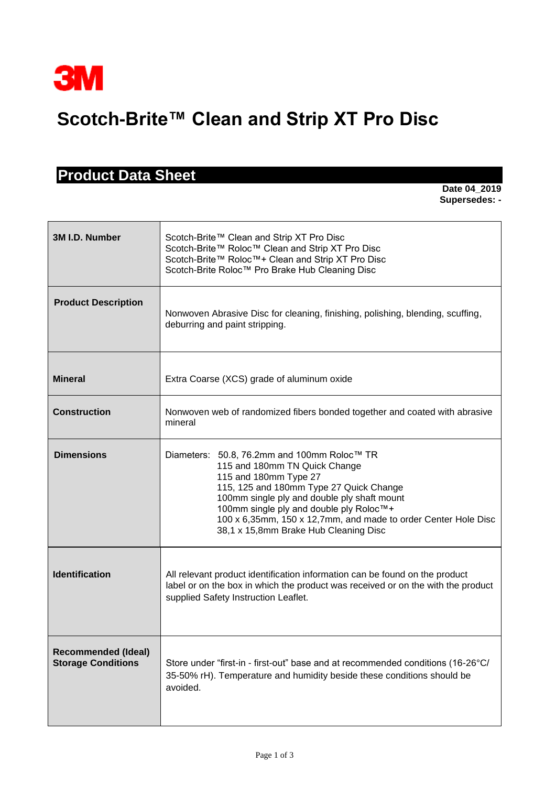

## **Scotch-Brite™ Clean and Strip XT Pro Disc**

## **Product Data Sheet**

**Date 04\_2019 Supersedes: -** 

| 3M I.D. Number                                          | Scotch-Brite™ Clean and Strip XT Pro Disc<br>Scotch-Brite™ Roloc™ Clean and Strip XT Pro Disc<br>Scotch-Brite™ Roloc™+ Clean and Strip XT Pro Disc<br>Scotch-Brite Roloc™ Pro Brake Hub Cleaning Disc                                                                                                                                                 |  |  |
|---------------------------------------------------------|-------------------------------------------------------------------------------------------------------------------------------------------------------------------------------------------------------------------------------------------------------------------------------------------------------------------------------------------------------|--|--|
| <b>Product Description</b>                              | Nonwoven Abrasive Disc for cleaning, finishing, polishing, blending, scuffing,<br>deburring and paint stripping.                                                                                                                                                                                                                                      |  |  |
| <b>Mineral</b>                                          | Extra Coarse (XCS) grade of aluminum oxide                                                                                                                                                                                                                                                                                                            |  |  |
| <b>Construction</b>                                     | Nonwoven web of randomized fibers bonded together and coated with abrasive<br>mineral                                                                                                                                                                                                                                                                 |  |  |
| <b>Dimensions</b>                                       | Diameters: 50.8, 76.2mm and 100mm Roloc™ TR<br>115 and 180mm TN Quick Change<br>115 and 180mm Type 27<br>115, 125 and 180mm Type 27 Quick Change<br>100mm single ply and double ply shaft mount<br>100mm single ply and double ply Roloc™+<br>100 x 6,35mm, 150 x 12,7mm, and made to order Center Hole Disc<br>38,1 x 15,8mm Brake Hub Cleaning Disc |  |  |
| <b>Identification</b>                                   | All relevant product identification information can be found on the product<br>label or on the box in which the product was received or on the with the product<br>supplied Safety Instruction Leaflet.                                                                                                                                               |  |  |
| <b>Recommended (Ideal)</b><br><b>Storage Conditions</b> | Store under "first-in - first-out" base and at recommended conditions (16-26°C/<br>35-50% rH). Temperature and humidity beside these conditions should be<br>avoided.                                                                                                                                                                                 |  |  |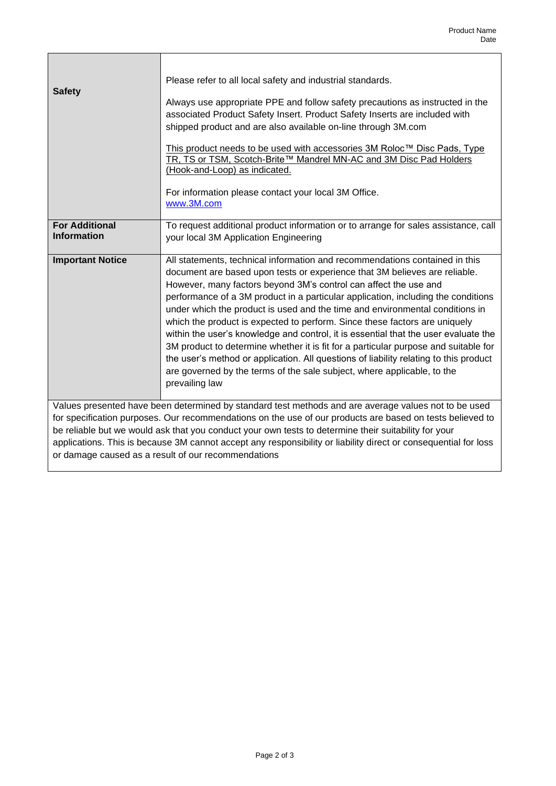| <b>Safety</b>                                                                                                                                                                                                                                                                                                                                                                                                                                                                                       | Please refer to all local safety and industrial standards.<br>Always use appropriate PPE and follow safety precautions as instructed in the<br>associated Product Safety Insert. Product Safety Inserts are included with<br>shipped product and are also available on-line through 3M.com<br>This product needs to be used with accessories 3M Roloc™ Disc Pads, Type<br>TR, TS or TSM, Scotch-Brite™ Mandrel MN-AC and 3M Disc Pad Holders<br>(Hook-and-Loop) as indicated.                                                                                                                                                                                                           |  |
|-----------------------------------------------------------------------------------------------------------------------------------------------------------------------------------------------------------------------------------------------------------------------------------------------------------------------------------------------------------------------------------------------------------------------------------------------------------------------------------------------------|-----------------------------------------------------------------------------------------------------------------------------------------------------------------------------------------------------------------------------------------------------------------------------------------------------------------------------------------------------------------------------------------------------------------------------------------------------------------------------------------------------------------------------------------------------------------------------------------------------------------------------------------------------------------------------------------|--|
| <b>For Additional</b><br><b>Information</b>                                                                                                                                                                                                                                                                                                                                                                                                                                                         | For information please contact your local 3M Office.<br>www.3M.com<br>To request additional product information or to arrange for sales assistance, call<br>your local 3M Application Engineering                                                                                                                                                                                                                                                                                                                                                                                                                                                                                       |  |
| <b>Important Notice</b>                                                                                                                                                                                                                                                                                                                                                                                                                                                                             | All statements, technical information and recommendations contained in this<br>document are based upon tests or experience that 3M believes are reliable.                                                                                                                                                                                                                                                                                                                                                                                                                                                                                                                               |  |
|                                                                                                                                                                                                                                                                                                                                                                                                                                                                                                     | However, many factors beyond 3M's control can affect the use and<br>performance of a 3M product in a particular application, including the conditions<br>under which the product is used and the time and environmental conditions in<br>which the product is expected to perform. Since these factors are uniquely<br>within the user's knowledge and control, it is essential that the user evaluate the<br>3M product to determine whether it is fit for a particular purpose and suitable for<br>the user's method or application. All questions of liability relating to this product<br>are governed by the terms of the sale subject, where applicable, to the<br>prevailing law |  |
| Values presented have been determined by standard test methods and are average values not to be used<br>for specification purposes. Our recommendations on the use of our products are based on tests believed to<br>be reliable but we would ask that you conduct your own tests to determine their suitability for your<br>applications. This is because 3M cannot accept any responsibility or liability direct or consequential for loss<br>or damage caused as a result of our recommendations |                                                                                                                                                                                                                                                                                                                                                                                                                                                                                                                                                                                                                                                                                         |  |